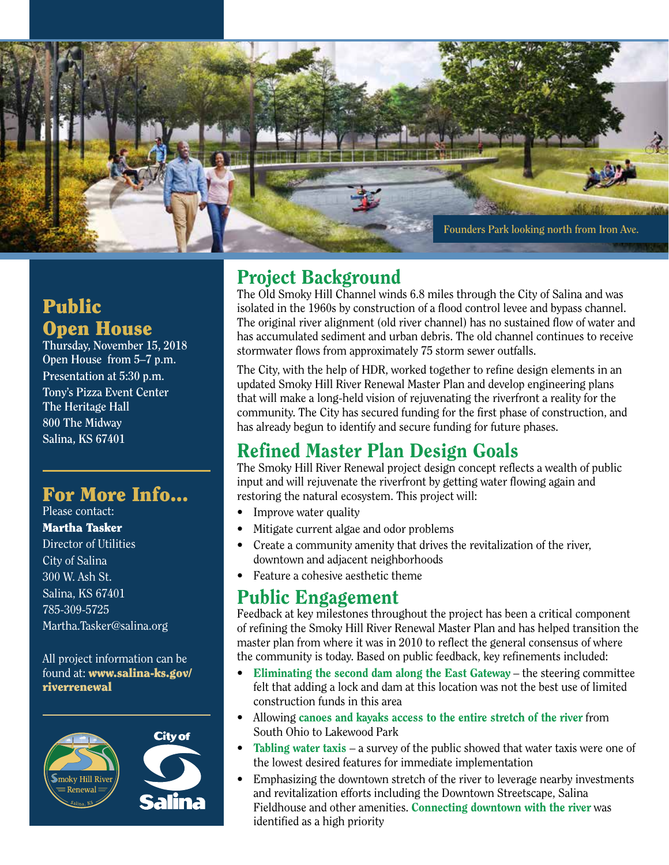

## Public Open House

**Thursday, November 15, 2018 Open House from 5–7 p.m. Presentation at 5:30 p.m. Tony's Pizza Event Center The Heritage Hall 800 The Midway Salina, KS 67401**

## For More Info...

Please contact: Martha Tasker Director of Utilities City of Salina 300 W. Ash St. Salina, KS 67401 785-309-5725 Martha.Tasker@salina.org

All project information can be found at: www.salina-ks.gov/ riverrenewal



## Project Background

The Old Smoky Hill Channel winds 6.8 miles through the City of Salina and was isolated in the 1960s by construction of a flood control levee and bypass channel. The original river alignment (old river channel) has no sustained flow of water and has accumulated sediment and urban debris. The old channel continues to receive stormwater flows from approximately 75 storm sewer outfalls.

The City, with the help of HDR, worked together to refine design elements in an updated Smoky Hill River Renewal Master Plan and develop engineering plans that will make a long-held vision of rejuvenating the riverfront a reality for the community. The City has secured funding for the first phase of construction, and has already begun to identify and secure funding for future phases.

# Refined Master Plan Design Goals

The Smoky Hill River Renewal project design concept reflects a wealth of public input and will rejuvenate the riverfront by getting water flowing again and restoring the natural ecosystem. This project will:

- Improve water quality
- Mitigate current algae and odor problems
- Create a community amenity that drives the revitalization of the river, downtown and adjacent neighborhoods
- Feature a cohesive aesthetic theme

#### Public Engagement

Feedback at key milestones throughout the project has been a critical component of refining the Smoky Hill River Renewal Master Plan and has helped transition the master plan from where it was in 2010 to reflect the general consensus of where the community is today. Based on public feedback, key refinements included:

- Eliminating the second dam along the East Gateway the steering committee felt that adding a lock and dam at this location was not the best use of limited construction funds in this area
- Allowing canoes and kayaks access to the entire stretch of the river from South Ohio to Lakewood Park
- Tabling water taxis a survey of the public showed that water taxis were one of the lowest desired features for immediate implementation
- Emphasizing the downtown stretch of the river to leverage nearby investments and revitalization efforts including the Downtown Streetscape, Salina Fieldhouse and other amenities. Connecting downtown with the river was identified as a high priority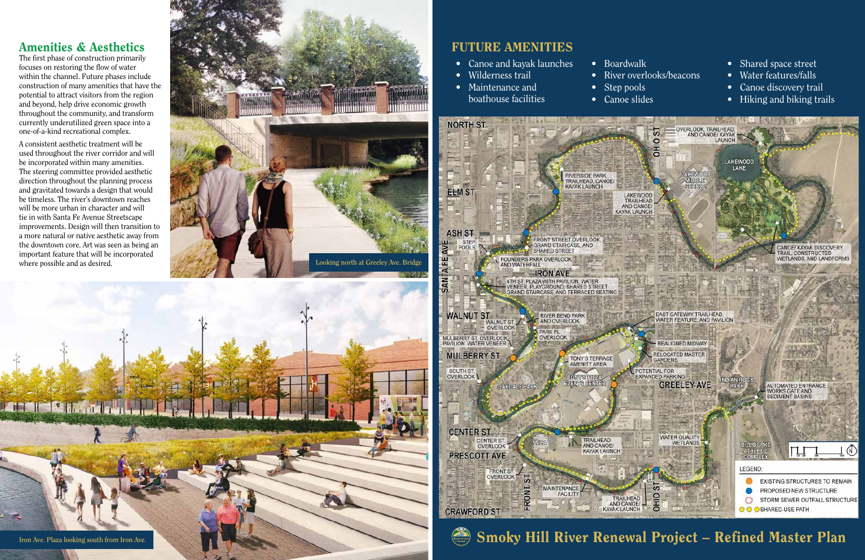## Amenities & Aesthetics

The first phase of construction primarily focuses on restoring the flow of water within the channel. Future phases include construction of many amenities that have the potential to attract visitors from the region and beyond, help drive economic growth throughout the community, and transform currently underutilized green space into a one-of-a-kind recreational complex.

A consistent aesthetic treatment will be used throughout the river corridor and will be incorporated within many amenities. The steering committee provided aesthetic direction throughout the planning process and gravitated towards a design that would be timeless. The river's downtown reaches will be more urban in character and will tie in with Santa Fe Avenue Streetscape improvements. Design will then transition to a more natural or native aesthetic away from the downtown core. Art was seen as being an important feature that will be incorporated where possible and as desired.

# FUTURE AMENITIES

- Canoe and kayak launches
- Wilderness trail
- Maintenance and boathouse facilities
	-





• Boardwalk • River overlooks/beacons • Step pools • Canoe slides

- Shared space street
- Water features/falls
- Canoe discovery trail
- Hiking and biking trails